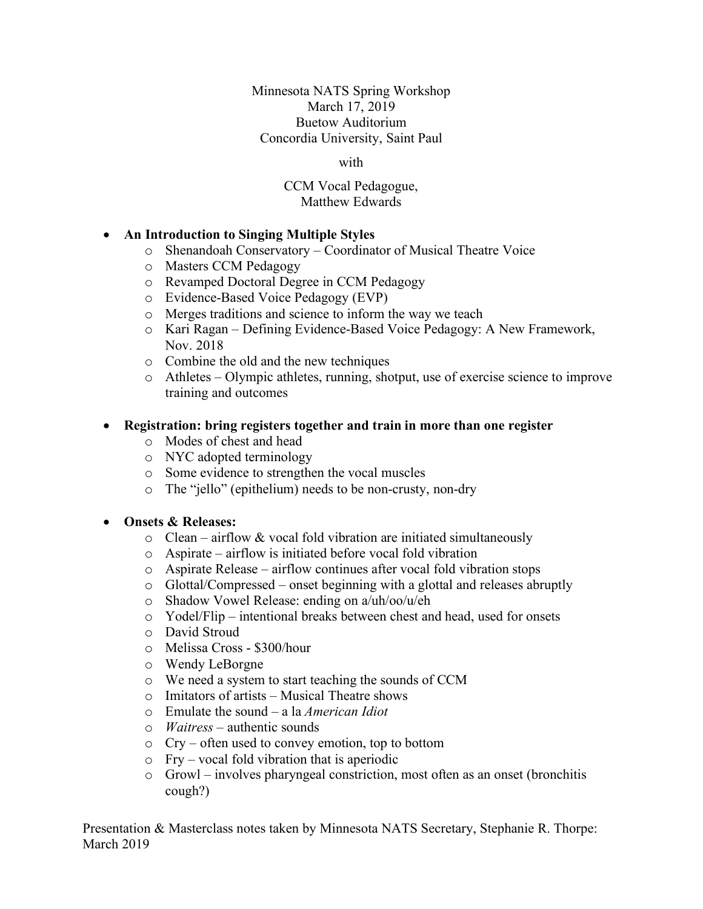Minnesota NATS Spring Workshop March 17, 2019 Buetow Auditorium Concordia University, Saint Paul

with

#### CCM Vocal Pedagogue, Matthew Edwards

## • **An Introduction to Singing Multiple Styles**

- o Shenandoah Conservatory Coordinator of Musical Theatre Voice
- o Masters CCM Pedagogy
- o Revamped Doctoral Degree in CCM Pedagogy
- o Evidence-Based Voice Pedagogy (EVP)
- o Merges traditions and science to inform the way we teach
- o Kari Ragan Defining Evidence-Based Voice Pedagogy: A New Framework, Nov. 2018
- o Combine the old and the new techniques
- o Athletes Olympic athletes, running, shotput, use of exercise science to improve training and outcomes

#### • **Registration: bring registers together and train in more than one register**

- o Modes of chest and head
- o NYC adopted terminology
- o Some evidence to strengthen the vocal muscles
- o The "jello" (epithelium) needs to be non-crusty, non-dry

#### • **Onsets & Releases:**

- $\circ$  Clean airflow & vocal fold vibration are initiated simultaneously
- o Aspirate airflow is initiated before vocal fold vibration
- o Aspirate Release airflow continues after vocal fold vibration stops
- o Glottal/Compressed onset beginning with a glottal and releases abruptly
- o Shadow Vowel Release: ending on a/uh/oo/u/eh
- o Yodel/Flip intentional breaks between chest and head, used for onsets
- o David Stroud
- o Melissa Cross \$300/hour
- o Wendy LeBorgne
- o We need a system to start teaching the sounds of CCM
- o Imitators of artists Musical Theatre shows
- o Emulate the sound a la *American Idiot*
- o *Waitress* authentic sounds
- o Cry often used to convey emotion, top to bottom
- o Fry vocal fold vibration that is aperiodic
- o Growl involves pharyngeal constriction, most often as an onset (bronchitis cough?)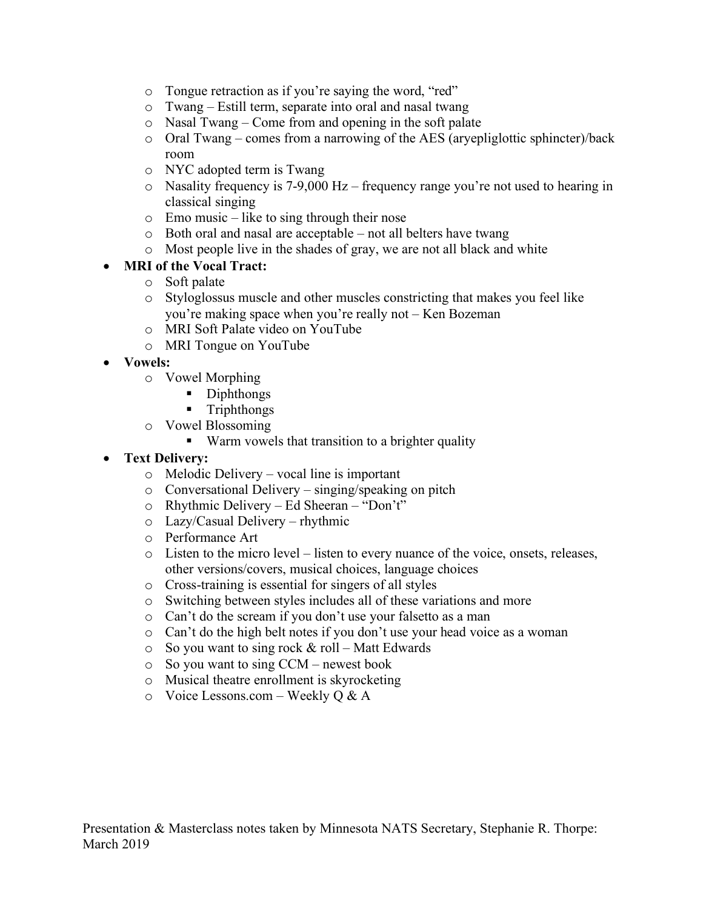- o Tongue retraction as if you're saying the word, "red"
- o Twang Estill term, separate into oral and nasal twang
- o Nasal Twang Come from and opening in the soft palate
- o Oral Twang comes from a narrowing of the AES (aryepliglottic sphincter)/back room
- o NYC adopted term is Twang
- o Nasality frequency is 7-9,000 Hz frequency range you're not used to hearing in classical singing
- o Emo music like to sing through their nose
- o Both oral and nasal are acceptable not all belters have twang
- o Most people live in the shades of gray, we are not all black and white

# • **MRI of the Vocal Tract:**

- o Soft palate
- o Styloglossus muscle and other muscles constricting that makes you feel like you're making space when you're really not – Ken Bozeman
- o MRI Soft Palate video on YouTube
- o MRI Tongue on YouTube
- **Vowels:**
	- o Vowel Morphing
		- Diphthongs
		- § Triphthongs
	- o Vowel Blossoming
		- Warm vowels that transition to a brighter quality
- **Text Delivery:**
	- o Melodic Delivery vocal line is important
	- o Conversational Delivery singing/speaking on pitch
	- o Rhythmic Delivery Ed Sheeran "Don't"
	- o Lazy/Casual Delivery rhythmic
	- o Performance Art
	- o Listen to the micro level listen to every nuance of the voice, onsets, releases, other versions/covers, musical choices, language choices
	- o Cross-training is essential for singers of all styles
	- o Switching between styles includes all of these variations and more
	- o Can't do the scream if you don't use your falsetto as a man
	- o Can't do the high belt notes if you don't use your head voice as a woman
	- $\circ$  So you want to sing rock & roll Matt Edwards
	- o So you want to sing CCM newest book
	- o Musical theatre enrollment is skyrocketing
	- o Voice Lessons.com Weekly Q & A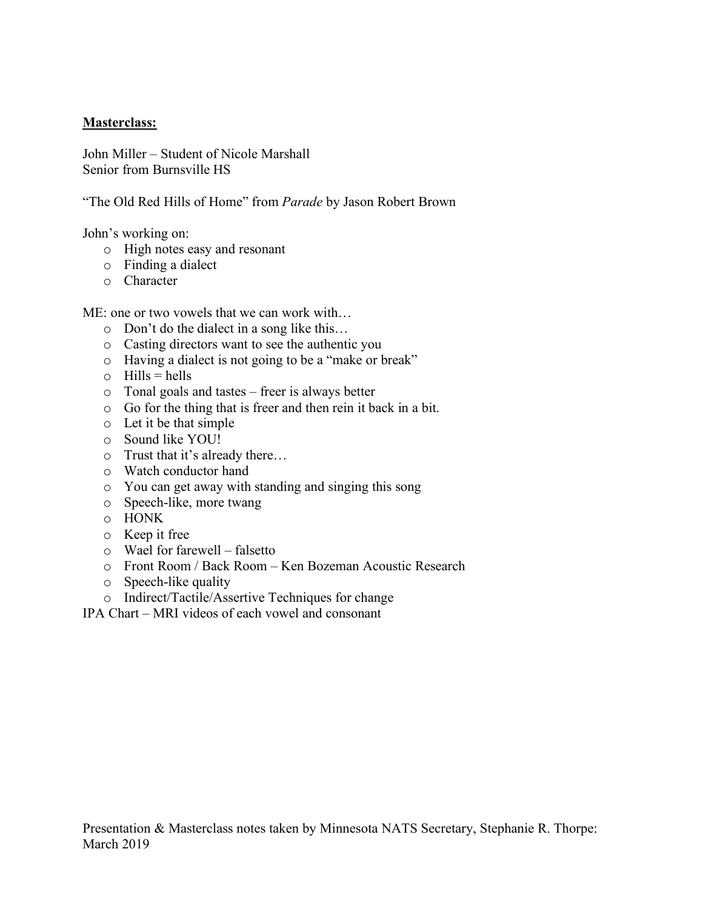## **Masterclass:**

John Miller – Student of Nicole Marshall Senior from Burnsville HS

"The Old Red Hills of Home" from *Parade* by Jason Robert Brown

John's working on:

- o High notes easy and resonant
- o Finding a dialect
- o Character

ME: one or two vowels that we can work with…

- o Don't do the dialect in a song like this…
- o Casting directors want to see the authentic you
- o Having a dialect is not going to be a "make or break"
- $\circ$  Hills = hells
- o Tonal goals and tastes freer is always better
- o Go for the thing that is freer and then rein it back in a bit.
- o Let it be that simple
- o Sound like YOU!
- o Trust that it's already there…
- o Watch conductor hand
- o You can get away with standing and singing this song
- o Speech-like, more twang
- o HONK
- o Keep it free
- o Wael for farewell falsetto
- o Front Room / Back Room Ken Bozeman Acoustic Research
- o Speech-like quality
- o Indirect/Tactile/Assertive Techniques for change

IPA Chart – MRI videos of each vowel and consonant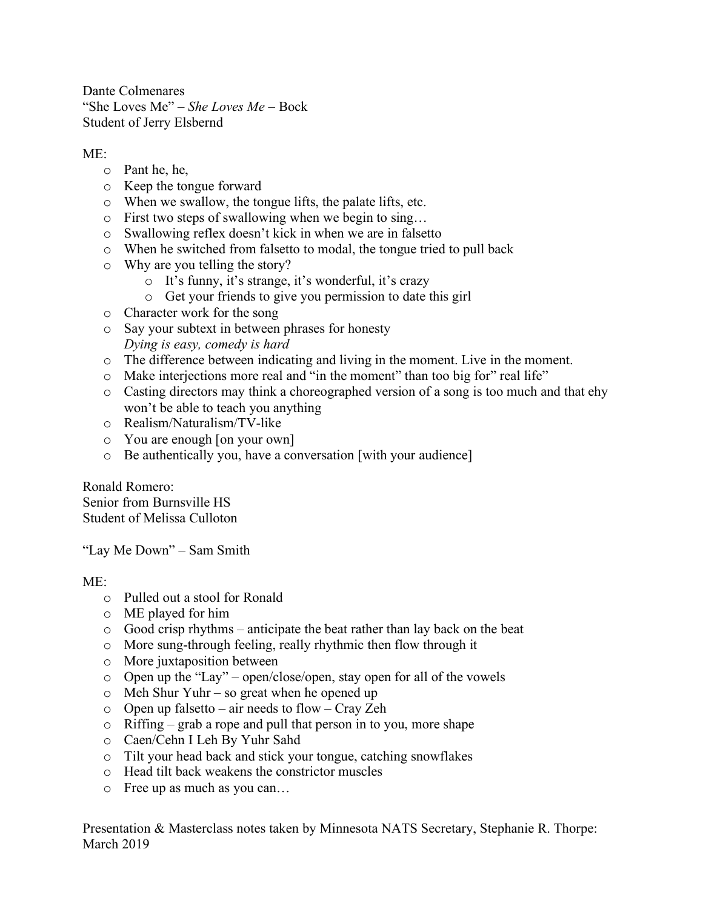Dante Colmenares "She Loves Me" – *She Loves Me* – Bock Student of Jerry Elsbernd

## $ME<sup>2</sup>$

- o Pant he, he,
- o Keep the tongue forward
- o When we swallow, the tongue lifts, the palate lifts, etc.
- o First two steps of swallowing when we begin to sing…
- o Swallowing reflex doesn't kick in when we are in falsetto
- o When he switched from falsetto to modal, the tongue tried to pull back
- o Why are you telling the story?
	- o It's funny, it's strange, it's wonderful, it's crazy
	- o Get your friends to give you permission to date this girl
- o Character work for the song
- o Say your subtext in between phrases for honesty *Dying is easy, comedy is hard*
- o The difference between indicating and living in the moment. Live in the moment.
- o Make interjections more real and "in the moment" than too big for" real life"
- o Casting directors may think a choreographed version of a song is too much and that ehy won't be able to teach you anything
- o Realism/Naturalism/TV-like
- o You are enough [on your own]
- o Be authentically you, have a conversation [with your audience]

Ronald Romero: Senior from Burnsville HS Student of Melissa Culloton

"Lay Me Down" – Sam Smith

## $ME^+$

- o Pulled out a stool for Ronald
- o ME played for him
- o Good crisp rhythms anticipate the beat rather than lay back on the beat
- o More sung-through feeling, really rhythmic then flow through it
- o More juxtaposition between
- o Open up the "Lay" open/close/open, stay open for all of the vowels
- o Meh Shur Yuhr so great when he opened up
- o Open up falsetto air needs to flow Cray Zeh
- o Riffing grab a rope and pull that person in to you, more shape
- o Caen/Cehn I Leh By Yuhr Sahd
- o Tilt your head back and stick your tongue, catching snowflakes
- o Head tilt back weakens the constrictor muscles
- o Free up as much as you can…

Presentation & Masterclass notes taken by Minnesota NATS Secretary, Stephanie R. Thorpe: March 2019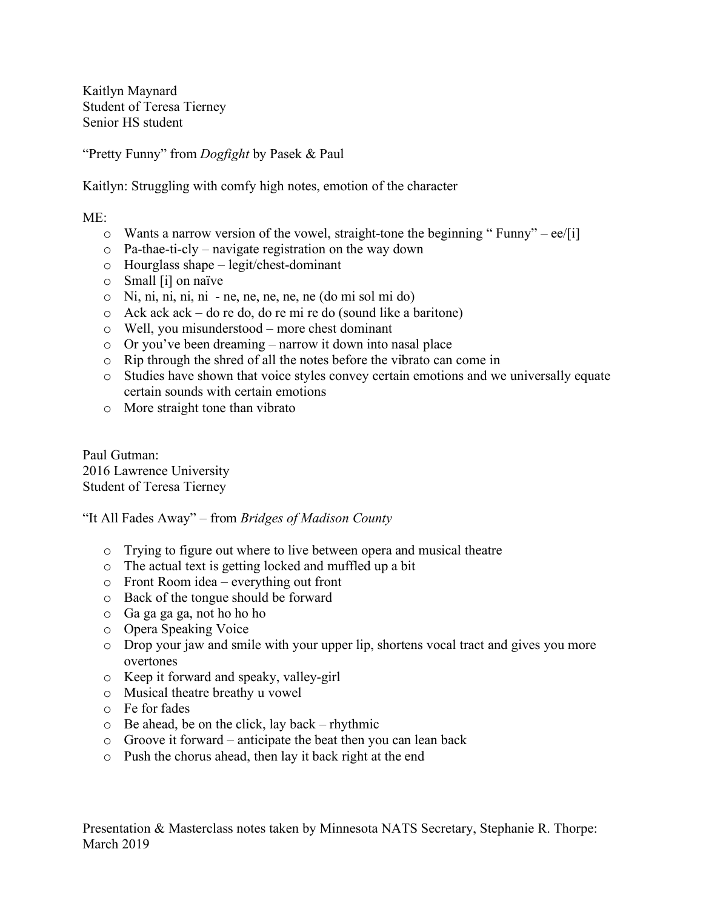Kaitlyn Maynard Student of Teresa Tierney Senior HS student

"Pretty Funny" from *Dogfight* by Pasek & Paul

Kaitlyn: Struggling with comfy high notes, emotion of the character

 $ME^+$ 

- $\circ$  Wants a narrow version of the vowel, straight-tone the beginning " Funny" ee/[i]
- o Pa-thae-ti-cly navigate registration on the way down
- o Hourglass shape legit/chest-dominant
- o Small [i] on naïve
- o Ni, ni, ni, ni, ni ne, ne, ne, ne, ne (do mi sol mi do)
- o Ack ack ack do re do, do re mi re do (sound like a baritone)
- o Well, you misunderstood more chest dominant
- o Or you've been dreaming narrow it down into nasal place
- o Rip through the shred of all the notes before the vibrato can come in
- o Studies have shown that voice styles convey certain emotions and we universally equate certain sounds with certain emotions
- o More straight tone than vibrato

Paul Gutman: 2016 Lawrence University Student of Teresa Tierney

"It All Fades Away" – from *Bridges of Madison County*

- o Trying to figure out where to live between opera and musical theatre
- o The actual text is getting locked and muffled up a bit
- o Front Room idea everything out front
- o Back of the tongue should be forward
- o Ga ga ga ga, not ho ho ho
- o Opera Speaking Voice
- o Drop your jaw and smile with your upper lip, shortens vocal tract and gives you more overtones
- o Keep it forward and speaky, valley-girl
- o Musical theatre breathy u vowel
- o Fe for fades
- o Be ahead, be on the click, lay back rhythmic
- o Groove it forward anticipate the beat then you can lean back
- o Push the chorus ahead, then lay it back right at the end